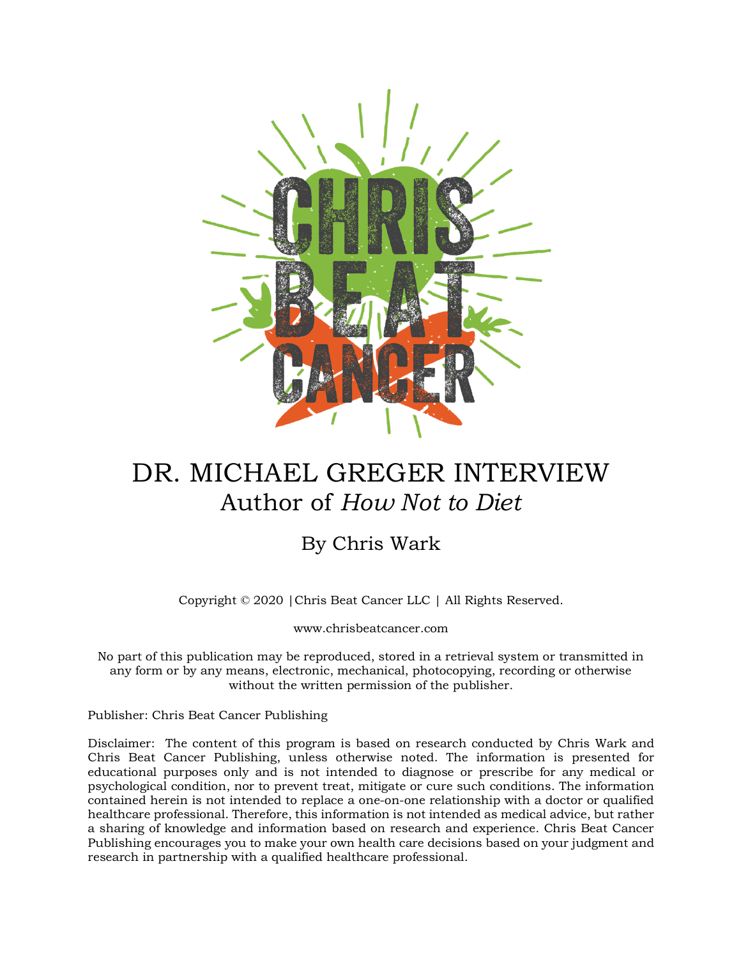

## DR. MICHAEL GREGER INTERVIEW Author of *How Not to Diet*

## By Chris Wark

Copyright © 2020 |Chris Beat Cancer LLC | All Rights Reserved.

www.chrisbeatcancer.com

No part of this publication may be reproduced, stored in a retrieval system or transmitted in any form or by any means, electronic, mechanical, photocopying, recording or otherwise without the written permission of the publisher.

Publisher: Chris Beat Cancer Publishing

Disclaimer: The content of this program is based on research conducted by Chris Wark and Chris Beat Cancer Publishing, unless otherwise noted. The information is presented for educational purposes only and is not intended to diagnose or prescribe for any medical or psychological condition, nor to prevent treat, mitigate or cure such conditions. The information contained herein is not intended to replace a one-on-one relationship with a doctor or qualified healthcare professional. Therefore, this information is not intended as medical advice, but rather a sharing of knowledge and information based on research and experience. Chris Beat Cancer Publishing encourages you to make your own health care decisions based on your judgment and research in partnership with a qualified healthcare professional.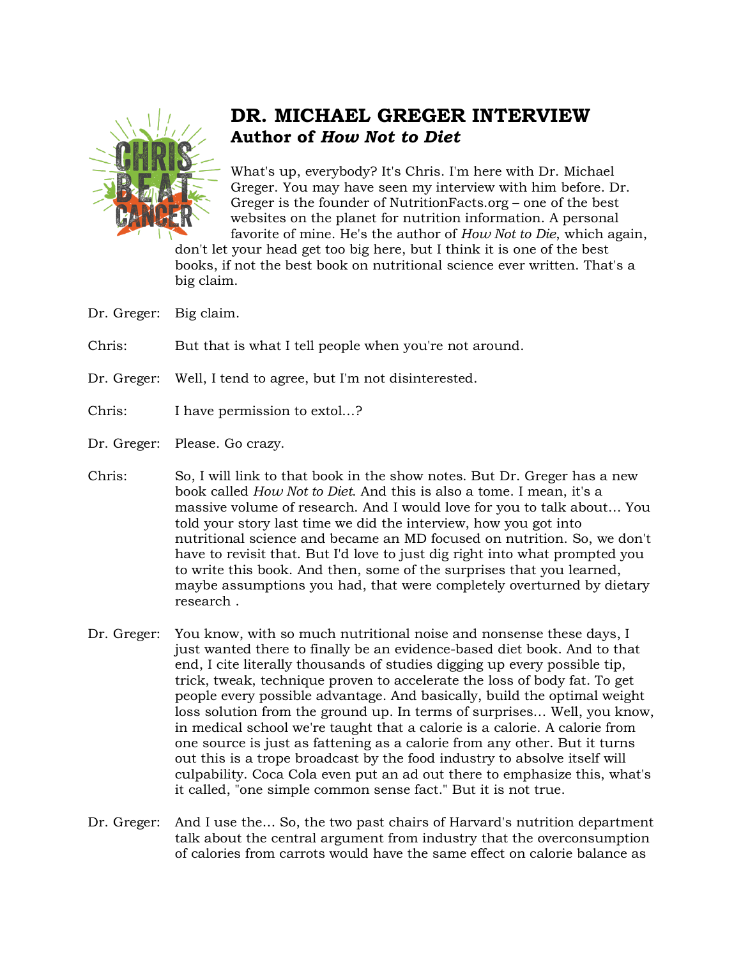

## **DR. MICHAEL GREGER INTERVIEW Author of** *How Not to Diet*

What's up, everybody? It's Chris. I'm here with Dr. Michael Greger. You may have seen my interview with him before. Dr. Greger is the founder of NutritionFacts.org – one of the best websites on the planet for nutrition information. A personal favorite of mine. He's the author of *How Not to Die*, which again,

don't let your head get too big here, but I think it is one of the best books, if not the best book on nutritional science ever written. That's a big claim.

Dr. Greger: Big claim.

Chris: But that is what I tell people when you're not around.

- Dr. Greger: Well, I tend to agree, but I'm not disinterested.
- Chris: I have permission to extol…?
- Dr. Greger: Please. Go crazy.
- Chris: So, I will link to that book in the show notes. But Dr. Greger has a new book called *How Not to Diet*. And this is also a tome. I mean, it's a massive volume of research. And I would love for you to talk about… You told your story last time we did the interview, how you got into nutritional science and became an MD focused on nutrition. So, we don't have to revisit that. But I'd love to just dig right into what prompted you to write this book. And then, some of the surprises that you learned, maybe assumptions you had, that were completely overturned by dietary research .
- Dr. Greger: You know, with so much nutritional noise and nonsense these days, I just wanted there to finally be an evidence-based diet book. And to that end, I cite literally thousands of studies digging up every possible tip, trick, tweak, technique proven to accelerate the loss of body fat. To get people every possible advantage. And basically, build the optimal weight loss solution from the ground up. In terms of surprises… Well, you know, in medical school we're taught that a calorie is a calorie. A calorie from one source is just as fattening as a calorie from any other. But it turns out this is a trope broadcast by the food industry to absolve itself will culpability. Coca Cola even put an ad out there to emphasize this, what's it called, "one simple common sense fact." But it is not true.
- Dr. Greger: And I use the… So, the two past chairs of Harvard's nutrition department talk about the central argument from industry that the overconsumption of calories from carrots would have the same effect on calorie balance as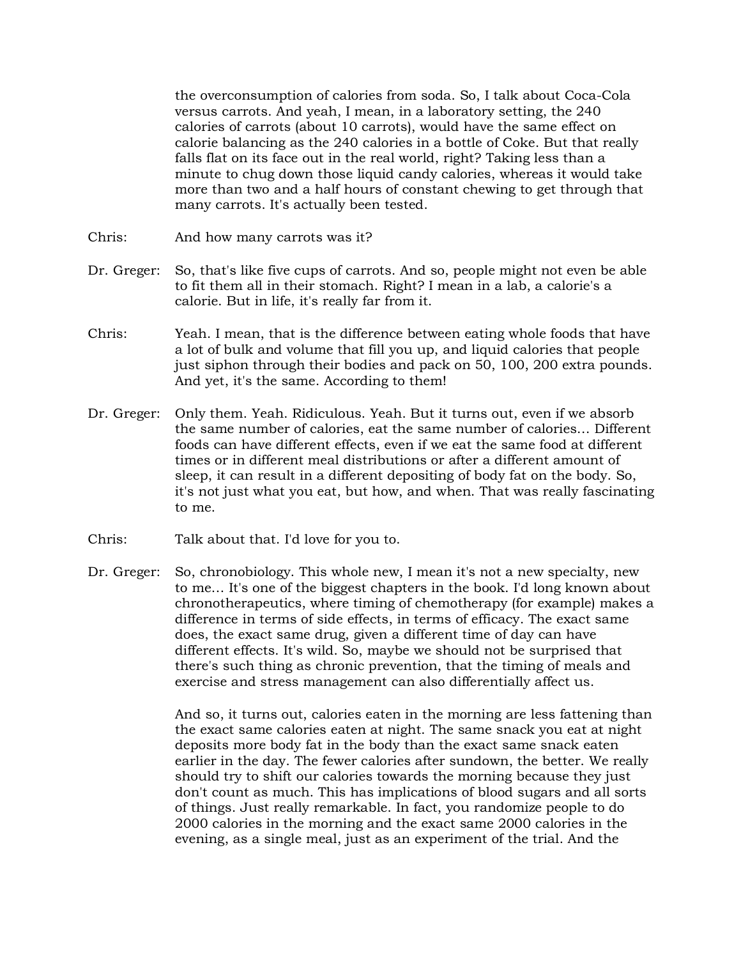the overconsumption of calories from soda. So, I talk about Coca-Cola versus carrots. And yeah, I mean, in a laboratory setting, the 240 calories of carrots (about 10 carrots), would have the same effect on calorie balancing as the 240 calories in a bottle of Coke. But that really falls flat on its face out in the real world, right? Taking less than a minute to chug down those liquid candy calories, whereas it would take more than two and a half hours of constant chewing to get through that many carrots. It's actually been tested.

- Chris: And how many carrots was it?
- Dr. Greger: So, that's like five cups of carrots. And so, people might not even be able to fit them all in their stomach. Right? I mean in a lab, a calorie's a calorie. But in life, it's really far from it.
- Chris: Yeah. I mean, that is the difference between eating whole foods that have a lot of bulk and volume that fill you up, and liquid calories that people just siphon through their bodies and pack on 50, 100, 200 extra pounds. And yet, it's the same. According to them!
- Dr. Greger: Only them. Yeah. Ridiculous. Yeah. But it turns out, even if we absorb the same number of calories, eat the same number of calories… Different foods can have different effects, even if we eat the same food at different times or in different meal distributions or after a different amount of sleep, it can result in a different depositing of body fat on the body. So, it's not just what you eat, but how, and when. That was really fascinating to me.
- Chris: Talk about that. I'd love for you to.
- Dr. Greger: So, chronobiology. This whole new, I mean it's not a new specialty, new to me… It's one of the biggest chapters in the book. I'd long known about chronotherapeutics, where timing of chemotherapy (for example) makes a difference in terms of side effects, in terms of efficacy. The exact same does, the exact same drug, given a different time of day can have different effects. It's wild. So, maybe we should not be surprised that there's such thing as chronic prevention, that the timing of meals and exercise and stress management can also differentially affect us.

And so, it turns out, calories eaten in the morning are less fattening than the exact same calories eaten at night. The same snack you eat at night deposits more body fat in the body than the exact same snack eaten earlier in the day. The fewer calories after sundown, the better. We really should try to shift our calories towards the morning because they just don't count as much. This has implications of blood sugars and all sorts of things. Just really remarkable. In fact, you randomize people to do 2000 calories in the morning and the exact same 2000 calories in the evening, as a single meal, just as an experiment of the trial. And the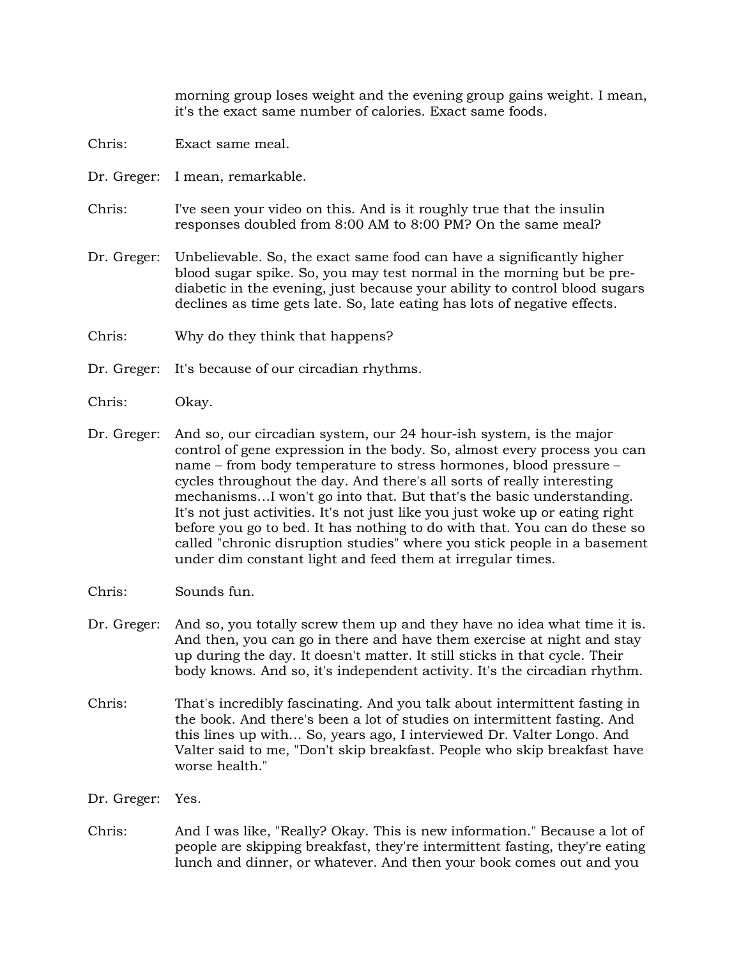morning group loses weight and the evening group gains weight. I mean, it's the exact same number of calories. Exact same foods.

- Chris: Exact same meal.
- Dr. Greger: I mean, remarkable.
- Chris: I've seen your video on this. And is it roughly true that the insulin responses doubled from 8:00 AM to 8:00 PM? On the same meal?
- Dr. Greger: Unbelievable. So, the exact same food can have a significantly higher blood sugar spike. So, you may test normal in the morning but be prediabetic in the evening, just because your ability to control blood sugars declines as time gets late. So, late eating has lots of negative effects.
- Chris: Why do they think that happens?
- Dr. Greger: It's because of our circadian rhythms.
- Chris: Okay.
- Dr. Greger: And so, our circadian system, our 24 hour-ish system, is the major control of gene expression in the body. So, almost every process you can name – from body temperature to stress hormones, blood pressure – cycles throughout the day. And there's all sorts of really interesting mechanisms…I won't go into that. But that's the basic understanding. It's not just activities. It's not just like you just woke up or eating right before you go to bed. It has nothing to do with that. You can do these so called "chronic disruption studies" where you stick people in a basement under dim constant light and feed them at irregular times.
- Chris: Sounds fun.
- Dr. Greger: And so, you totally screw them up and they have no idea what time it is. And then, you can go in there and have them exercise at night and stay up during the day. It doesn't matter. It still sticks in that cycle. Their body knows. And so, it's independent activity. It's the circadian rhythm.
- Chris: That's incredibly fascinating. And you talk about intermittent fasting in the book. And there's been a lot of studies on intermittent fasting. And this lines up with… So, years ago, I interviewed Dr. Valter Longo. And Valter said to me, "Don't skip breakfast. People who skip breakfast have worse health."
- Dr. Greger: Yes.
- Chris: And I was like, "Really? Okay. This is new information." Because a lot of people are skipping breakfast, they're intermittent fasting, they're eating lunch and dinner, or whatever. And then your book comes out and you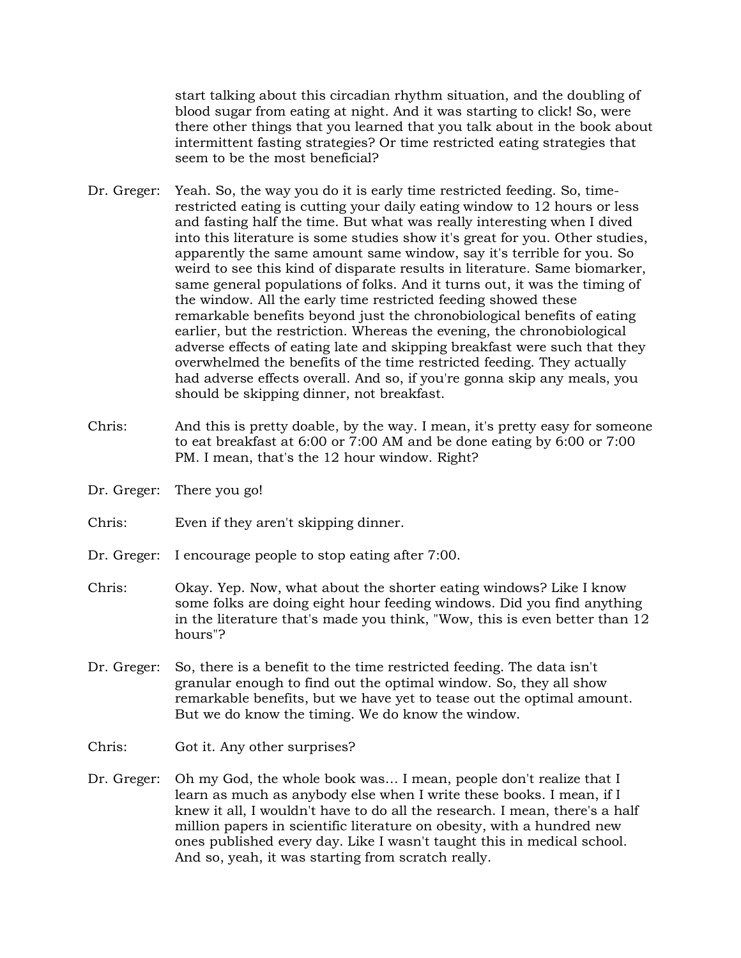start talking about this circadian rhythm situation, and the doubling of blood sugar from eating at night. And it was starting to click! So, were there other things that you learned that you talk about in the book about intermittent fasting strategies? Or time restricted eating strategies that seem to be the most beneficial?

- Dr. Greger: Yeah. So, the way you do it is early time restricted feeding. So, timerestricted eating is cutting your daily eating window to 12 hours or less and fasting half the time. But what was really interesting when I dived into this literature is some studies show it's great for you. Other studies, apparently the same amount same window, say it's terrible for you. So weird to see this kind of disparate results in literature. Same biomarker, same general populations of folks. And it turns out, it was the timing of the window. All the early time restricted feeding showed these remarkable benefits beyond just the chronobiological benefits of eating earlier, but the restriction. Whereas the evening, the chronobiological adverse effects of eating late and skipping breakfast were such that they overwhelmed the benefits of the time restricted feeding. They actually had adverse effects overall. And so, if you're gonna skip any meals, you should be skipping dinner, not breakfast.
- Chris: And this is pretty doable, by the way. I mean, it's pretty easy for someone to eat breakfast at 6:00 or 7:00 AM and be done eating by 6:00 or 7:00 PM. I mean, that's the 12 hour window. Right?
- Dr. Greger: There you go!
- Chris: Even if they aren't skipping dinner.
- Dr. Greger: I encourage people to stop eating after 7:00.
- Chris: Okay. Yep. Now, what about the shorter eating windows? Like I know some folks are doing eight hour feeding windows. Did you find anything in the literature that's made you think, "Wow, this is even better than 12 hours"?
- Dr. Greger: So, there is a benefit to the time restricted feeding. The data isn't granular enough to find out the optimal window. So, they all show remarkable benefits, but we have yet to tease out the optimal amount. But we do know the timing. We do know the window.
- Chris: Got it. Any other surprises?
- Dr. Greger: Oh my God, the whole book was… I mean, people don't realize that I learn as much as anybody else when I write these books. I mean, if I knew it all, I wouldn't have to do all the research. I mean, there's a half million papers in scientific literature on obesity, with a hundred new ones published every day. Like I wasn't taught this in medical school. And so, yeah, it was starting from scratch really.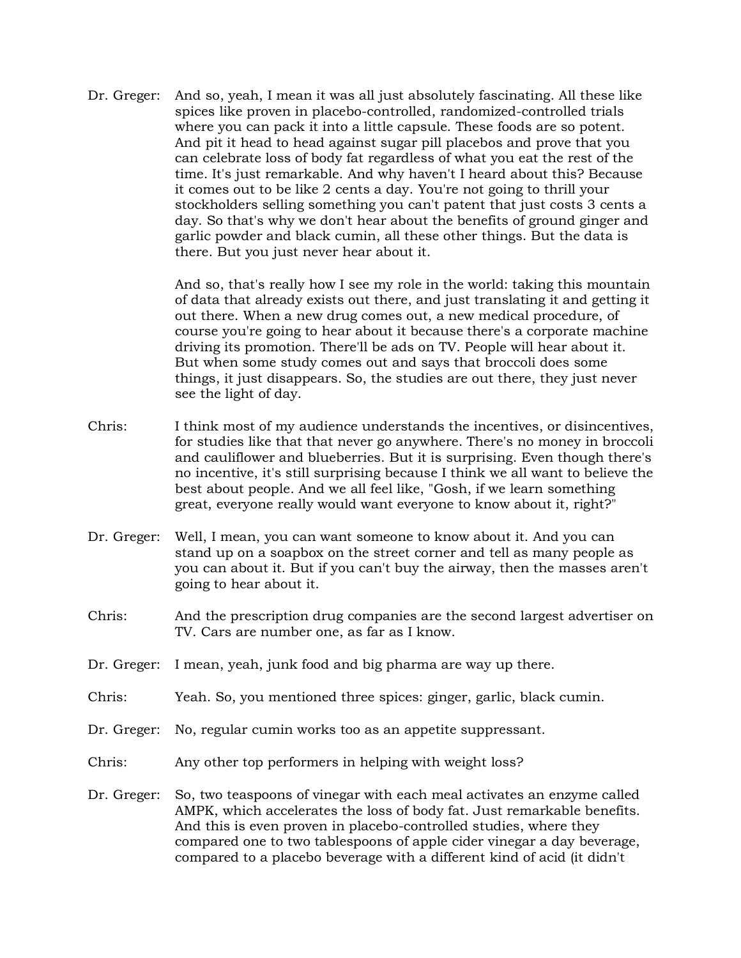Dr. Greger: And so, yeah, I mean it was all just absolutely fascinating. All these like spices like proven in placebo-controlled, randomized-controlled trials where you can pack it into a little capsule. These foods are so potent. And pit it head to head against sugar pill placebos and prove that you can celebrate loss of body fat regardless of what you eat the rest of the time. It's just remarkable. And why haven't I heard about this? Because it comes out to be like 2 cents a day. You're not going to thrill your stockholders selling something you can't patent that just costs 3 cents a day. So that's why we don't hear about the benefits of ground ginger and garlic powder and black cumin, all these other things. But the data is there. But you just never hear about it.

> And so, that's really how I see my role in the world: taking this mountain of data that already exists out there, and just translating it and getting it out there. When a new drug comes out, a new medical procedure, of course you're going to hear about it because there's a corporate machine driving its promotion. There'll be ads on TV. People will hear about it. But when some study comes out and says that broccoli does some things, it just disappears. So, the studies are out there, they just never see the light of day.

- Chris: I think most of my audience understands the incentives, or disincentives, for studies like that that never go anywhere. There's no money in broccoli and cauliflower and blueberries. But it is surprising. Even though there's no incentive, it's still surprising because I think we all want to believe the best about people. And we all feel like, "Gosh, if we learn something great, everyone really would want everyone to know about it, right?"
- Dr. Greger: Well, I mean, you can want someone to know about it. And you can stand up on a soapbox on the street corner and tell as many people as you can about it. But if you can't buy the airway, then the masses aren't going to hear about it.
- Chris: And the prescription drug companies are the second largest advertiser on TV. Cars are number one, as far as I know.
- Dr. Greger: I mean, yeah, junk food and big pharma are way up there.
- Chris: Yeah. So, you mentioned three spices: ginger, garlic, black cumin.
- Dr. Greger: No, regular cumin works too as an appetite suppressant.
- Chris: Any other top performers in helping with weight loss?
- Dr. Greger: So, two teaspoons of vinegar with each meal activates an enzyme called AMPK, which accelerates the loss of body fat. Just remarkable benefits. And this is even proven in placebo-controlled studies, where they compared one to two tablespoons of apple cider vinegar a day beverage, compared to a placebo beverage with a different kind of acid (it didn't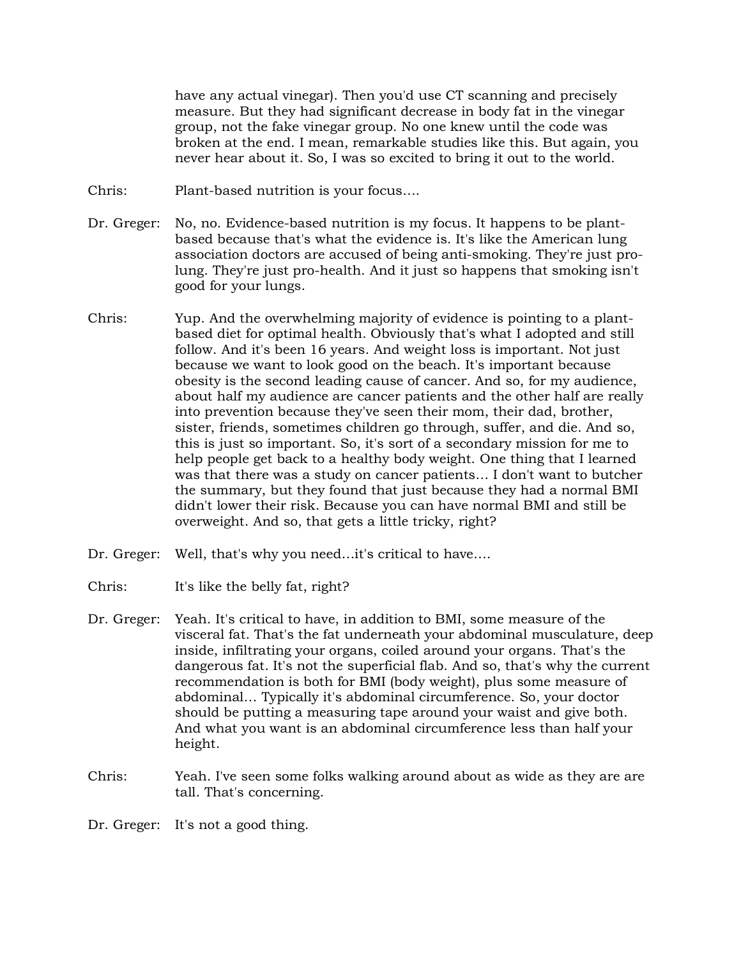have any actual vinegar). Then you'd use CT scanning and precisely measure. But they had significant decrease in body fat in the vinegar group, not the fake vinegar group. No one knew until the code was broken at the end. I mean, remarkable studies like this. But again, you never hear about it. So, I was so excited to bring it out to the world.

- Chris: Plant-based nutrition is your focus….
- Dr. Greger: No, no. Evidence-based nutrition is my focus. It happens to be plantbased because that's what the evidence is. It's like the American lung association doctors are accused of being anti-smoking. They're just prolung. They're just pro-health. And it just so happens that smoking isn't good for your lungs.
- Chris: Yup. And the overwhelming majority of evidence is pointing to a plantbased diet for optimal health. Obviously that's what I adopted and still follow. And it's been 16 years. And weight loss is important. Not just because we want to look good on the beach. It's important because obesity is the second leading cause of cancer. And so, for my audience, about half my audience are cancer patients and the other half are really into prevention because they've seen their mom, their dad, brother, sister, friends, sometimes children go through, suffer, and die. And so, this is just so important. So, it's sort of a secondary mission for me to help people get back to a healthy body weight. One thing that I learned was that there was a study on cancer patients… I don't want to butcher the summary, but they found that just because they had a normal BMI didn't lower their risk. Because you can have normal BMI and still be overweight. And so, that gets a little tricky, right?
- Dr. Greger: Well, that's why you need...it's critical to have....
- Chris: It's like the belly fat, right?
- Dr. Greger: Yeah. It's critical to have, in addition to BMI, some measure of the visceral fat. That's the fat underneath your abdominal musculature, deep inside, infiltrating your organs, coiled around your organs. That's the dangerous fat. It's not the superficial flab. And so, that's why the current recommendation is both for BMI (body weight), plus some measure of abdominal… Typically it's abdominal circumference. So, your doctor should be putting a measuring tape around your waist and give both. And what you want is an abdominal circumference less than half your height.
- Chris: Yeah. I've seen some folks walking around about as wide as they are are tall. That's concerning.

Dr. Greger: It's not a good thing.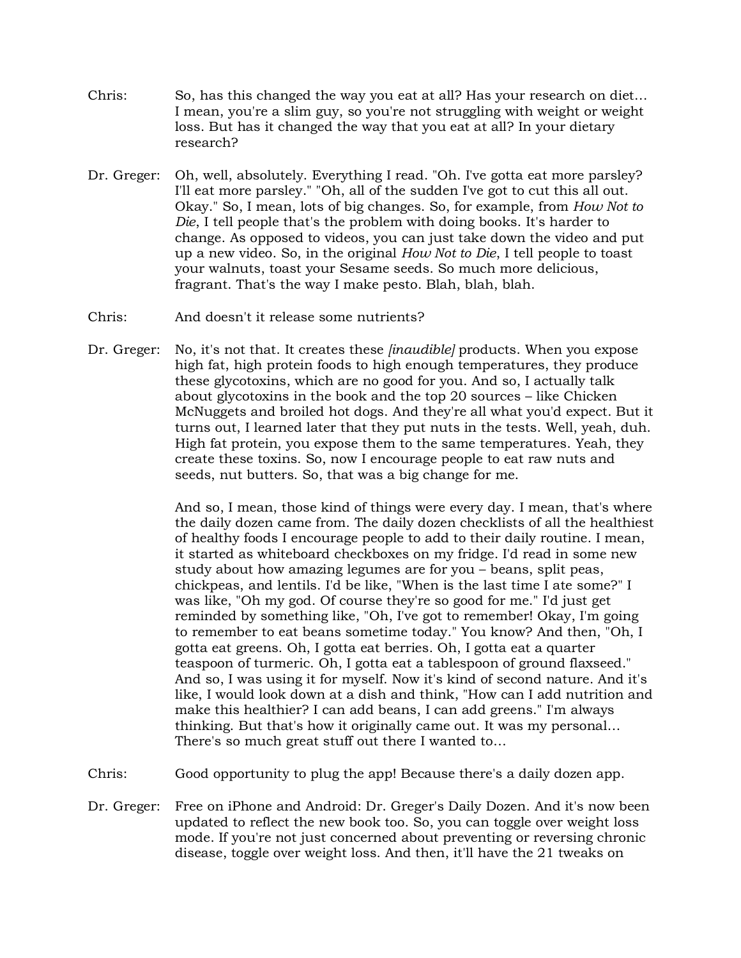- Chris: So, has this changed the way you eat at all? Has your research on diet… I mean, you're a slim guy, so you're not struggling with weight or weight loss. But has it changed the way that you eat at all? In your dietary research?
- Dr. Greger: Oh, well, absolutely. Everything I read. "Oh. I've gotta eat more parsley? I'll eat more parsley." "Oh, all of the sudden I've got to cut this all out. Okay." So, I mean, lots of big changes. So, for example, from *How Not to Die*, I tell people that's the problem with doing books. It's harder to change. As opposed to videos, you can just take down the video and put up a new video. So, in the original *How Not to Die*, I tell people to toast your walnuts, toast your Sesame seeds. So much more delicious, fragrant. That's the way I make pesto. Blah, blah, blah.
- Chris: And doesn't it release some nutrients?
- Dr. Greger: No, it's not that. It creates these *[inaudible]* products. When you expose high fat, high protein foods to high enough temperatures, they produce these glycotoxins, which are no good for you. And so, I actually talk about glycotoxins in the book and the top 20 sources – like Chicken McNuggets and broiled hot dogs. And they're all what you'd expect. But it turns out, I learned later that they put nuts in the tests. Well, yeah, duh. High fat protein, you expose them to the same temperatures. Yeah, they create these toxins. So, now I encourage people to eat raw nuts and seeds, nut butters. So, that was a big change for me.

And so, I mean, those kind of things were every day. I mean, that's where the daily dozen came from. The daily dozen checklists of all the healthiest of healthy foods I encourage people to add to their daily routine. I mean, it started as whiteboard checkboxes on my fridge. I'd read in some new study about how amazing legumes are for you – beans, split peas, chickpeas, and lentils. I'd be like, "When is the last time I ate some?" I was like, "Oh my god. Of course they're so good for me." I'd just get reminded by something like, "Oh, I've got to remember! Okay, I'm going to remember to eat beans sometime today." You know? And then, "Oh, I gotta eat greens. Oh, I gotta eat berries. Oh, I gotta eat a quarter teaspoon of turmeric. Oh, I gotta eat a tablespoon of ground flaxseed." And so, I was using it for myself. Now it's kind of second nature. And it's like, I would look down at a dish and think, "How can I add nutrition and make this healthier? I can add beans, I can add greens." I'm always thinking. But that's how it originally came out. It was my personal… There's so much great stuff out there I wanted to…

- Chris: Good opportunity to plug the app! Because there's a daily dozen app.
- Dr. Greger: Free on iPhone and Android: Dr. Greger's Daily Dozen. And it's now been updated to reflect the new book too. So, you can toggle over weight loss mode. If you're not just concerned about preventing or reversing chronic disease, toggle over weight loss. And then, it'll have the 21 tweaks on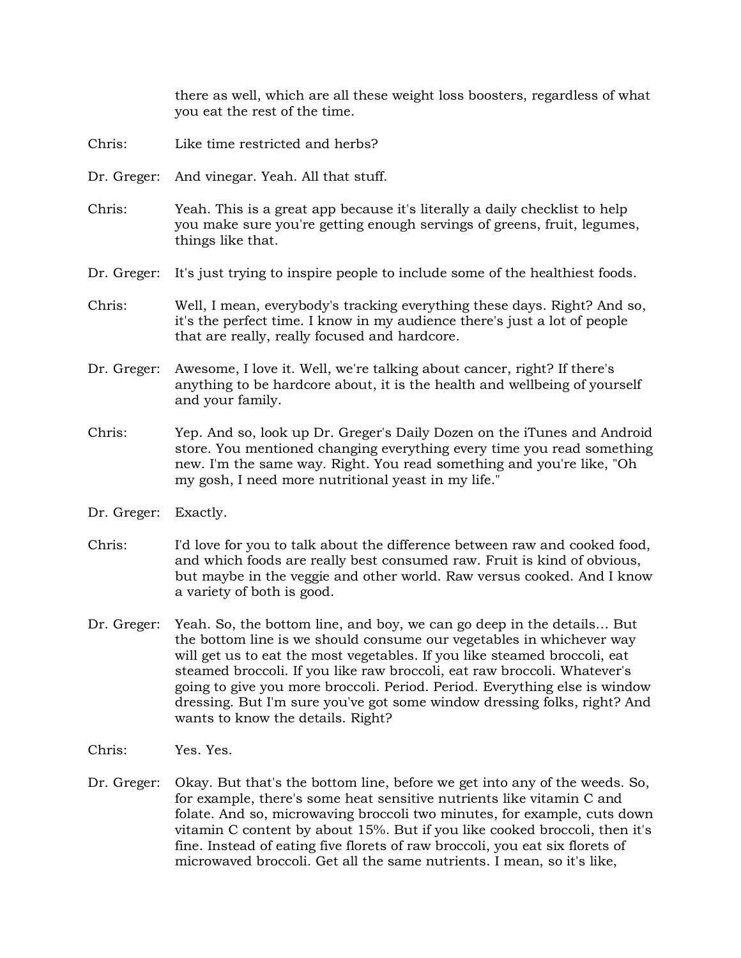there as well, which are all these weight loss boosters, regardless of what you eat the rest of the time.

- Chris: Like time restricted and herbs?
- Dr. Greger: And vinegar. Yeah. All that stuff.
- Chris: Yeah. This is a great app because it's literally a daily checklist to help you make sure you're getting enough servings of greens, fruit, legumes, things like that.
- Dr. Greger: It's just trying to inspire people to include some of the healthiest foods.
- Chris: Well, I mean, everybody's tracking everything these days. Right? And so, it's the perfect time. I know in my audience there's just a lot of people that are really, really focused and hardcore.
- Dr. Greger: Awesome, I love it. Well, we're talking about cancer, right? If there's anything to be hardcore about, it is the health and wellbeing of yourself and your family.
- Chris: Yep. And so, look up Dr. Greger's Daily Dozen on the iTunes and Android store. You mentioned changing everything every time you read something new. I'm the same way. Right. You read something and you're like, "Oh my gosh, I need more nutritional yeast in my life."
- Dr. Greger: Exactly.
- Chris: I'd love for you to talk about the difference between raw and cooked food, and which foods are really best consumed raw. Fruit is kind of obvious, but maybe in the veggie and other world. Raw versus cooked. And I know a variety of both is good.
- Dr. Greger: Yeah. So, the bottom line, and boy, we can go deep in the details… But the bottom line is we should consume our vegetables in whichever way will get us to eat the most vegetables. If you like steamed broccoli, eat steamed broccoli. If you like raw broccoli, eat raw broccoli. Whatever's going to give you more broccoli. Period. Period. Everything else is window dressing. But I'm sure you've got some window dressing folks, right? And wants to know the details. Right?
- Chris: Yes. Yes.
- Dr. Greger: Okay. But that's the bottom line, before we get into any of the weeds. So, for example, there's some heat sensitive nutrients like vitamin C and folate. And so, microwaving broccoli two minutes, for example, cuts down vitamin C content by about 15%. But if you like cooked broccoli, then it's fine. Instead of eating five florets of raw broccoli, you eat six florets of microwaved broccoli. Get all the same nutrients. I mean, so it's like,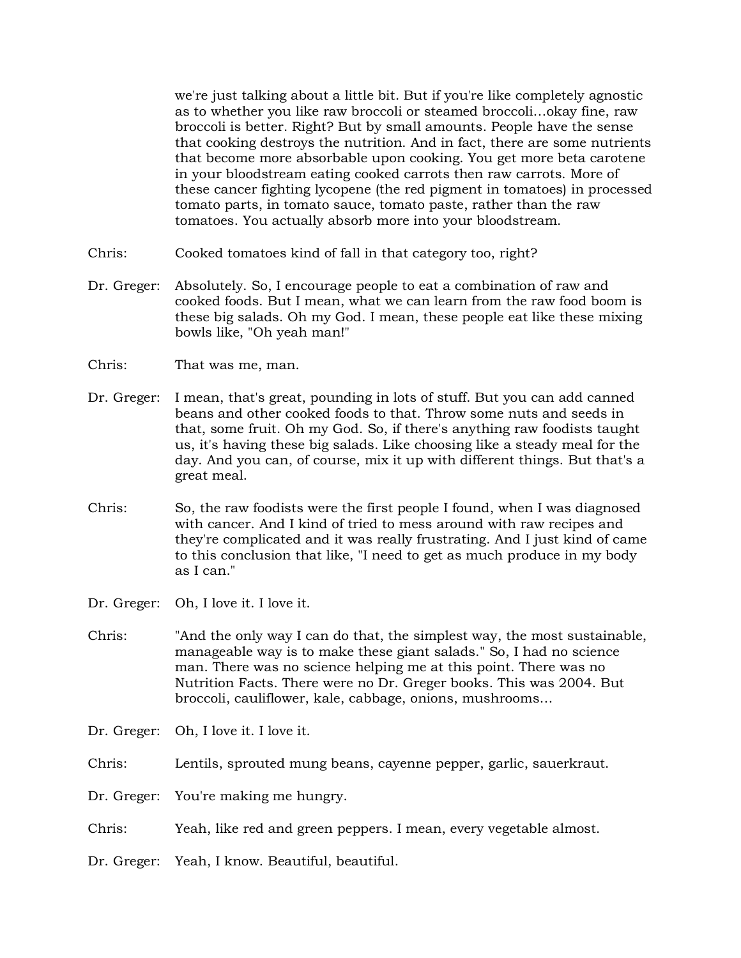we're just talking about a little bit. But if you're like completely agnostic as to whether you like raw broccoli or steamed broccoli…okay fine, raw broccoli is better. Right? But by small amounts. People have the sense that cooking destroys the nutrition. And in fact, there are some nutrients that become more absorbable upon cooking. You get more beta carotene in your bloodstream eating cooked carrots then raw carrots. More of these cancer fighting lycopene (the red pigment in tomatoes) in processed tomato parts, in tomato sauce, tomato paste, rather than the raw tomatoes. You actually absorb more into your bloodstream.

- Chris: Cooked tomatoes kind of fall in that category too, right?
- Dr. Greger: Absolutely. So, I encourage people to eat a combination of raw and cooked foods. But I mean, what we can learn from the raw food boom is these big salads. Oh my God. I mean, these people eat like these mixing bowls like, "Oh yeah man!"
- Chris: That was me, man.
- Dr. Greger: I mean, that's great, pounding in lots of stuff. But you can add canned beans and other cooked foods to that. Throw some nuts and seeds in that, some fruit. Oh my God. So, if there's anything raw foodists taught us, it's having these big salads. Like choosing like a steady meal for the day. And you can, of course, mix it up with different things. But that's a great meal.
- Chris: So, the raw foodists were the first people I found, when I was diagnosed with cancer. And I kind of tried to mess around with raw recipes and they're complicated and it was really frustrating. And I just kind of came to this conclusion that like, "I need to get as much produce in my body as I can."
- Dr. Greger: Oh, I love it. I love it.
- Chris: "And the only way I can do that, the simplest way, the most sustainable, manageable way is to make these giant salads." So, I had no science man. There was no science helping me at this point. There was no Nutrition Facts. There were no Dr. Greger books. This was 2004. But broccoli, cauliflower, kale, cabbage, onions, mushrooms…
- Dr. Greger: Oh, I love it. I love it.
- Chris: Lentils, sprouted mung beans, cayenne pepper, garlic, sauerkraut.
- Dr. Greger: You're making me hungry.
- Chris: Yeah, like red and green peppers. I mean, every vegetable almost.
- Dr. Greger: Yeah, I know. Beautiful, beautiful.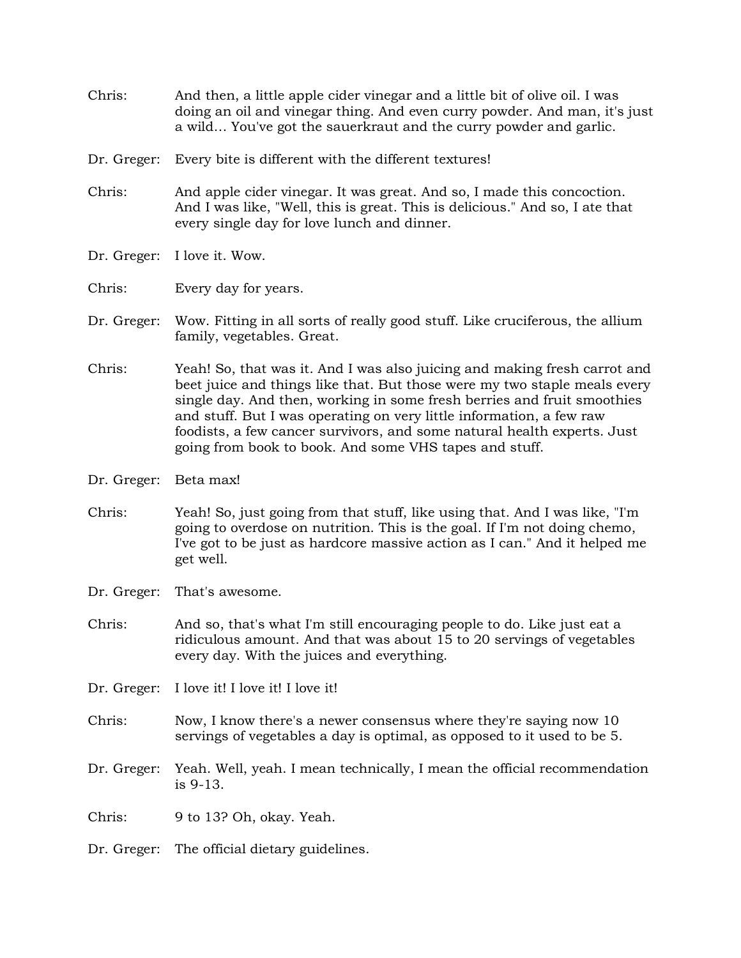- Chris: And then, a little apple cider vinegar and a little bit of olive oil. I was doing an oil and vinegar thing. And even curry powder. And man, it's just a wild… You've got the sauerkraut and the curry powder and garlic.
- Dr. Greger: Every bite is different with the different textures!
- Chris: And apple cider vinegar. It was great. And so, I made this concoction. And I was like, "Well, this is great. This is delicious." And so, I ate that every single day for love lunch and dinner.
- Dr. Greger: I love it. Wow.
- Chris: Every day for years.
- Dr. Greger: Wow. Fitting in all sorts of really good stuff. Like cruciferous, the allium family, vegetables. Great.
- Chris: Yeah! So, that was it. And I was also juicing and making fresh carrot and beet juice and things like that. But those were my two staple meals every single day. And then, working in some fresh berries and fruit smoothies and stuff. But I was operating on very little information, a few raw foodists, a few cancer survivors, and some natural health experts. Just going from book to book. And some VHS tapes and stuff.
- Dr. Greger: Beta max!
- Chris: Yeah! So, just going from that stuff, like using that. And I was like, "I'm going to overdose on nutrition. This is the goal. If I'm not doing chemo, I've got to be just as hardcore massive action as I can." And it helped me get well.
- Dr. Greger: That's awesome.
- Chris: And so, that's what I'm still encouraging people to do. Like just eat a ridiculous amount. And that was about 15 to 20 servings of vegetables every day. With the juices and everything.
- Dr. Greger: I love it! I love it! I love it!
- Chris: Now, I know there's a newer consensus where they're saying now 10 servings of vegetables a day is optimal, as opposed to it used to be 5.
- Dr. Greger: Yeah. Well, yeah. I mean technically, I mean the official recommendation is 9-13.
- Chris: 9 to 13? Oh, okay. Yeah.
- Dr. Greger: The official dietary guidelines.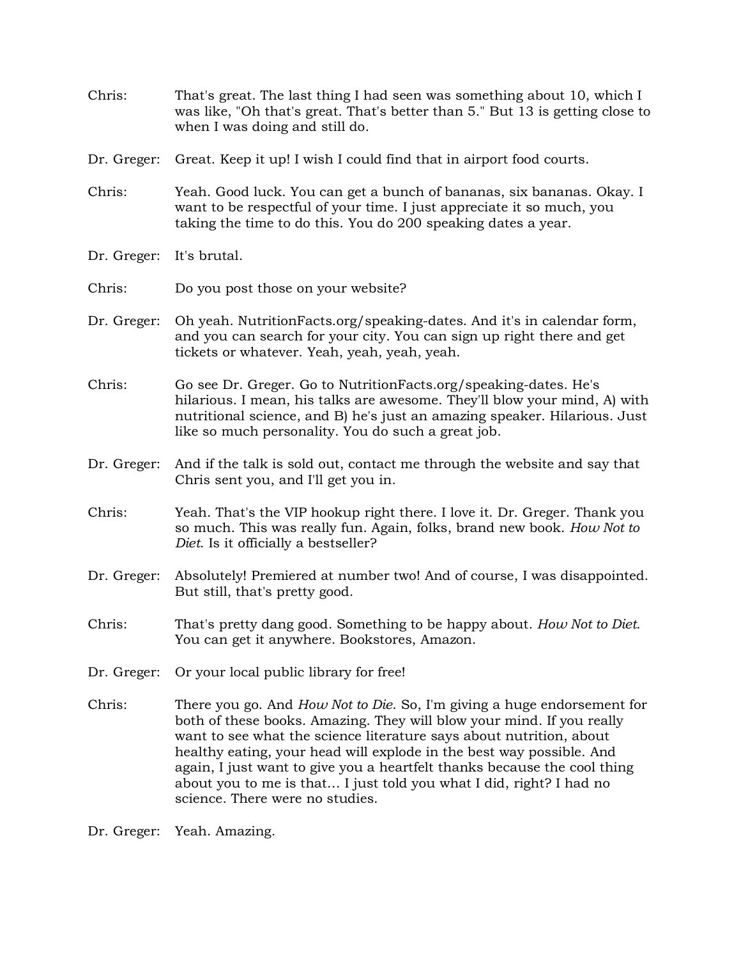- Chris: That's great. The last thing I had seen was something about 10, which I was like, "Oh that's great. That's better than 5." But 13 is getting close to when I was doing and still do.
- Dr. Greger: Great. Keep it up! I wish I could find that in airport food courts.
- Chris: Yeah. Good luck. You can get a bunch of bananas, six bananas. Okay. I want to be respectful of your time. I just appreciate it so much, you taking the time to do this. You do 200 speaking dates a year.
- Dr. Greger: It's brutal.
- Chris: Do you post those on your website?
- Dr. Greger: Oh yeah. NutritionFacts.org/speaking-dates. And it's in calendar form, and you can search for your city. You can sign up right there and get tickets or whatever. Yeah, yeah, yeah, yeah.
- Chris: Go see Dr. Greger. Go to NutritionFacts.org/speaking-dates. He's hilarious. I mean, his talks are awesome. They'll blow your mind, A) with nutritional science, and B) he's just an amazing speaker. Hilarious. Just like so much personality. You do such a great job.
- Dr. Greger: And if the talk is sold out, contact me through the website and say that Chris sent you, and I'll get you in.
- Chris: Yeah. That's the VIP hookup right there. I love it. Dr. Greger. Thank you so much. This was really fun. Again, folks, brand new book. *How Not to Diet*. Is it officially a bestseller?
- Dr. Greger: Absolutely! Premiered at number two! And of course, I was disappointed. But still, that's pretty good.
- Chris: That's pretty dang good. Something to be happy about. *How Not to Diet*. You can get it anywhere. Bookstores, Amazon.
- Dr. Greger: Or your local public library for free!
- Chris: There you go. And *How Not to Die*. So, I'm giving a huge endorsement for both of these books. Amazing. They will blow your mind. If you really want to see what the science literature says about nutrition, about healthy eating, your head will explode in the best way possible. And again, I just want to give you a heartfelt thanks because the cool thing about you to me is that… I just told you what I did, right? I had no science. There were no studies.

Dr. Greger: Yeah. Amazing.